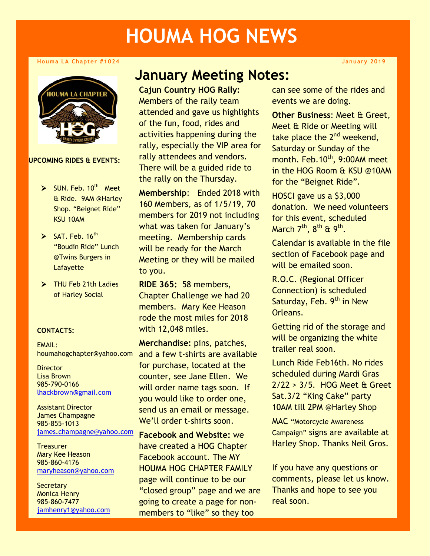# **HOUMA HOG NEWS**

#### **Houma LA Chapter #1024**



**UPCOMING RIDES & EVENTS:**

- $\triangleright$  SUN. Feb. 10<sup>th</sup> Meet & Ride. 9AM @Harley Shop. "Beignet Ride" KSU 10AM
- $\blacktriangleright$  SAT. Feb. 16<sup>th</sup> "Boudin Ride" Lunch @Twins Burgers in Lafayette
- ¾ THU Feb 21th Ladies of Harley Social

#### **CONTACTS:**

EMAIL: houmahogchapter@yahoo.com

**Director** Lisa Brown 985-790-0166 [lhackbrown@gmail.com](mailto:lhackbrown@gmail.com)

Assistant Director James Champagne 985-855-1013 [james.champagne@yahoo.com](mailto:james.champagne@yahoo.com)

**Treasurer** Mary Kee Heason 985-860-4176 [maryheason@yahoo.com](mailto:lhackbrown@gmail.com)

**Secretary** Monica Henry 985-860-7477 [jamhenry1@yahoo.com](mailto:jamhenry1@yahoo.com)

## **January Meeting Notes:**

**Cajun Country HOG Rally:**  Members of the rally team attended and gave us highlights of the fun, food, rides and activities happening during the rally, especially the VIP area for rally attendees and vendors. There will be a guided ride to the rally on the Thursday.

**Membership**: Ended 2018 with 160 Members, as of 1/5/19, 70 members for 2019 not including what was taken for January's meeting. Membership cards will be ready for the March Meeting or they will be mailed to you.

**RIDE 365:** 58 members, Chapter Challenge we had 20 members. Mary Kee Heason rode the most miles for 2018 with 12,048 miles.

**Merchandise:** pins, patches, and a few t-shirts are available for purchase, located at the counter, see Jane Ellen. We will order name tags soon. If you would like to order one, send us an email or message. We'll order t-shirts soon.

**Facebook and Website:** we have created a HOG Chapter Facebook account. The MY HOUMA HOG CHAPTER FAMILY page will continue to be our "closed group" page and we are going to create a page for nonmembers to "like" so they too

can see some of the rides and events we are doing.

**Other Business**: Meet & Greet, Meet & Ride or Meeting will take place the  $2^{nd}$  weekend, Saturday or Sunday of the month. Feb.10<sup>th</sup>, 9:00AM meet in the HOG Room & KSU @10AM for the "Beignet Ride".

HOSCI gave us a \$3,000 donation. We need volunteers for this event, scheduled March  $7<sup>th</sup>$ ,  $8<sup>th</sup>$  &  $9<sup>th</sup>$ .

Calendar is available in the file section of Facebook page and will be emailed soon.

R.O.C. (Regional Officer Connection) is scheduled Saturday, Feb. 9<sup>th</sup> in New Orleans.

Getting rid of the storage and will be organizing the white trailer real soon.

Lunch Ride Feb16th. No rides scheduled during Mardi Gras 2/22 > 3/5. HOG Meet & Greet Sat.3/2 "King Cake" party 10AM till 2PM @Harley Shop

MAC "Motorcycle Awareness Campaign" signs are available at Harley Shop. Thanks Neil Gros.

If you have any questions or comments, please let us know. Thanks and hope to see you real soon.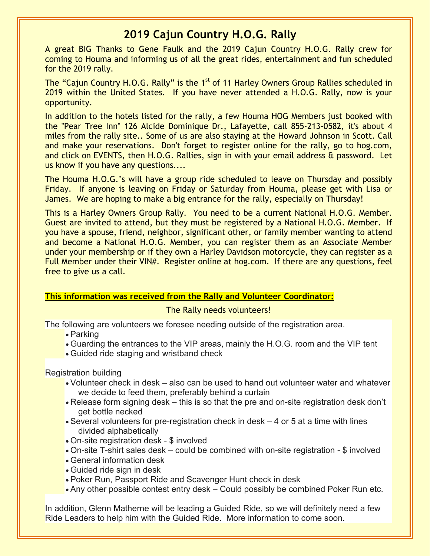## **2019 Cajun Country H.O.G. Rally**

A great BIG Thanks to Gene Faulk and the 2019 Cajun Country H.O.G. Rally crew for coming to Houma and informing us of all the great rides, entertainment and fun scheduled for the 2019 rally.

The "Cajun Country H.O.G. Rally" is the 1<sup>st</sup> of 11 Harley Owners Group Rallies scheduled in 2019 within the United States. If you have never attended a H.O.G. Rally, now is your opportunity.

In addition to the hotels listed for the rally, a few Houma HOG Members just booked with the "Pear Tree Inn" 126 Alcide Dominique Dr., Lafayette, call 855-213-0582, it's about 4 miles from the rally site.. Some of us are also staying at the Howard Johnson in Scott. Call and make your reservations. Don't forget to register online for the rally, go to hog.com, and click on EVENTS, then H.O.G. Rallies, sign in with your email address & password. Let us know if you have any questions....

The Houma H.O.G.'s will have a group ride scheduled to leave on Thursday and possibly Friday. If anyone is leaving on Friday or Saturday from Houma, please get with Lisa or James. We are hoping to make a big entrance for the rally, especially on Thursday!

This is a Harley Owners Group Rally. You need to be a current National H.O.G. Member. Guest are invited to attend, but they must be registered by a National H.O.G. Member. If you have a spouse, friend, neighbor, significant other, or family member wanting to attend and become a National H.O.G. Member, you can register them as an Associate Member under your membership or if they own a Harley Davidson motorcycle, they can register as a Full Member under their VIN#. Register online at hog.com. If there are any questions, feel free to give us a call.

#### **This information was received from the Rally and Volunteer Coordinator:**

#### The Rally needs volunteers!

The following are volunteers we foresee needing outside of the registration area.

- Parking
- Guarding the entrances to the VIP areas, mainly the H.O.G. room and the VIP tent
- Guided ride staging and wristband check

Registration building

- Volunteer check in desk also can be used to hand out volunteer water and whatever we decide to feed them, preferably behind a curtain
- Release form signing desk this is so that the pre and on-site registration desk don't get bottle necked
- Several volunteers for pre-registration check in desk 4 or 5 at a time with lines divided alphabetically
- On-site registration desk \$ involved
- On-site T-shirt sales desk could be combined with on-site registration \$ involved
- General information desk
- Guided ride sign in desk
- Poker Run, Passport Ride and Scavenger Hunt check in desk
- Any other possible contest entry desk Could possibly be combined Poker Run etc.

In addition, Glenn Matherne will be leading a Guided Ride, so we will definitely need a few Ride Leaders to help him with the Guided Ride. More information to come soon.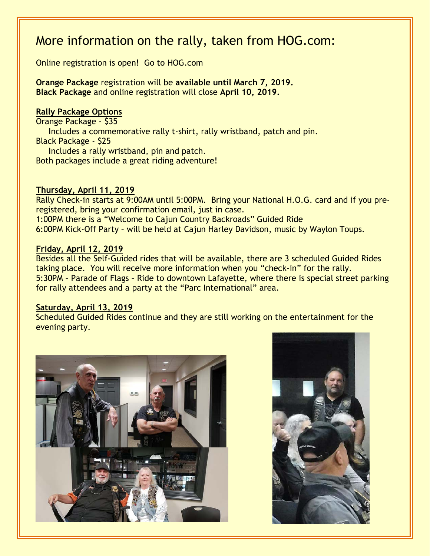# More information on the rally, taken from HOG.com:

Online registration is open! Go to HOG.com

**Orange Package** registration will be **available until March 7, 2019. Black Package** and online registration will close **April 10, 2019.**

#### **Rally Package Options**

Orange Package - \$35 Includes a commemorative rally t-shirt, rally wristband, patch and pin. Black Package - \$25 Includes a rally wristband, pin and patch. Both packages include a great riding adventure!

#### **Thursday, April 11, 2019**

Rally Check-in starts at 9:00AM until 5:00PM. Bring your National H.O.G. card and if you preregistered, bring your confirmation email, just in case. 1:00PM there is a "Welcome to Cajun Country Backroads" Guided Ride

6:00PM Kick-Off Party – will be held at Cajun Harley Davidson, music by Waylon Toups.

#### **Friday, April 12, 2019**

Besides all the Self-Guided rides that will be available, there are 3 scheduled Guided Rides taking place. You will receive more information when you "check-in" for the rally. 5:30PM – Parade of Flags – Ride to downtown Lafayette, where there is special street parking for rally attendees and a party at the "Parc International" area.

#### **Saturday, April 13, 2019**

Scheduled Guided Rides continue and they are still working on the entertainment for the evening party.



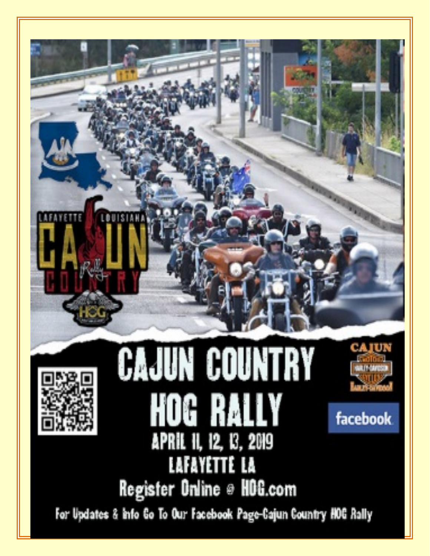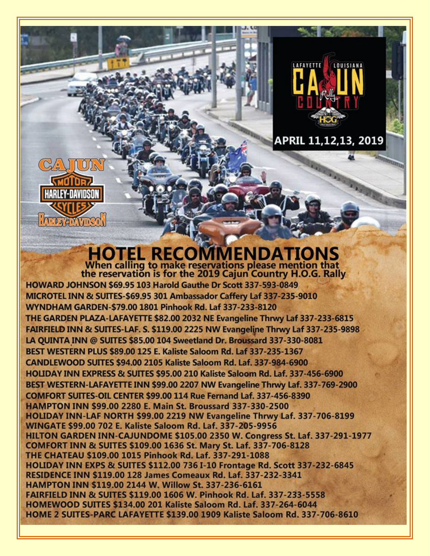

# APRIL 11,12,13, 2019

# **HOTEL RECOMMENDATIONS**<br>When calling to make reservations please mention that<br>the reservation is for the 2019 Cajun Country H.O.G. Rally

CALION

*<u>GMOIDR</u>* HARLFY-DAVIDSD

**IAPOLY EDAVIDSO** 

HOWARD JOHNSON \$69.95 103 Harold Gauthe Dr Scott 337-593-0849 MICROTEL INN & SUITES-\$69.95 301 Ambassador Caffery Laf 337-235-9010 WYNDHAM GARDEN-\$79.00 1801 Pinhook Rd. Laf 337-233-8120 THE GARDEN PLAZA-LAFAYETTE \$82.00 2032 NE Evangeline Thrwy Laf 337-233-6815 FAIRFIELD INN & SUITES-LAF. S. \$119.00 2225 NW Evangeline Thrwy Laf 337-235-9898 LA OUINTA INN @ SUITES \$85,00 104 Sweetland Dr. Broussard 337-330-8081 BEST WESTERN PLUS \$89.00 125 E. Kaliste Saloom Rd. Laf 337-235-1367 CANDLEWOOD SUITES \$94.00 2105 Kaliste Saloom Rd. Laf. 337-984-6900 HOLIDAY INN EXPRESS & SUITES \$95.00 210 Kaliste Saloom Rd. Laf. 337-456-6900 BEST WESTERN-LAFAYETTE INN \$99.00 2207 NW Evangeline Thrwy Laf. 337-769-2900 COMFORT SUITES-OIL CENTER \$99.00 114 Rue Fernand Laf. 337-456-8390 HAMPTON INN \$99.00 2280 E. Main St. Broussard 337-330-2500 HOLIDAY INN-LAF NORTH \$99.00 2219 NW Evangeline Thrwy Laf. 337-706-8199 **WINGATE \$99.00 702 E. Kaliste Saloom Rd. Laf. 337-205-9956** HILTON GARDEN INN-CAJUNDOME \$105.00 2350 W. Congress St. Laf. 337-291-1977 COMFORT INN & SUITES \$109.00 1636 St. Mary St. Laf. 337-706-8128 THE CHATEAU \$109.00 1015 Pinhook Rd. Laf. 337-291-1088 HOLIDAY INN EXPS & SUITES \$112.00 736 I-10 Frontage Rd. Scott 337-232-6845 RESIDENCE INN \$119.00 128 James Comeaux Rd. Laf. 337-232-3341 HAMPTON INN \$119.00 2144 W. Willow St. 337-236-6161 FAIRFIELD INN & SUITES \$119.00 1606 W. Pinhook Rd. Laf. 337-233-5558 HOMEWOOD SUITES \$134.00 201 Kaliste Saloom Rd. Laf. 337-264-6044 HOME 2 SUITES-PARC LAFAYETTE \$139.00 1909 Kaliste Saloom Rd. 337-706-8610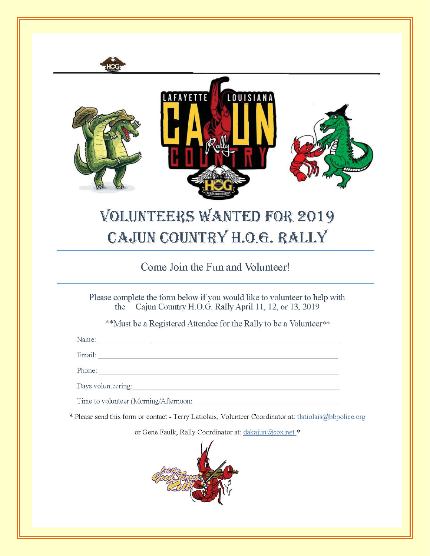

# **VOLUNTEERS WANTED FOR 2019** CAJUN COUNTRY H.O.G. RALLY

### Come Join the Fun and Volunteer!

Please complete the form below if you would like to volunteer to help with Cajun Country H.O.G. Rally April 11, 12, or 13, 2019 the

\*\*Must be a Registered Attendee for the Rally to be a Volunteer\*\*

Name: Name:

Email: Email: Email: Email: Email: Email: Email: Email: Email: Email: Email: Email: Email: Email: Email: Email: Email: Email: Email: Email: Email: Email: Email: Email: Email: Email: Email: Email: Email: Email: Email: Email

Days volunteering:

Time to volunteer (Morning/Afternoon:

\* Please send this form or contact - Terry Latiolais, Volunteer Coordinator at: tlatiolais@bbpolice.org

or Gene Faulk, Rally Coordinator at: dakajun@cox.net \*

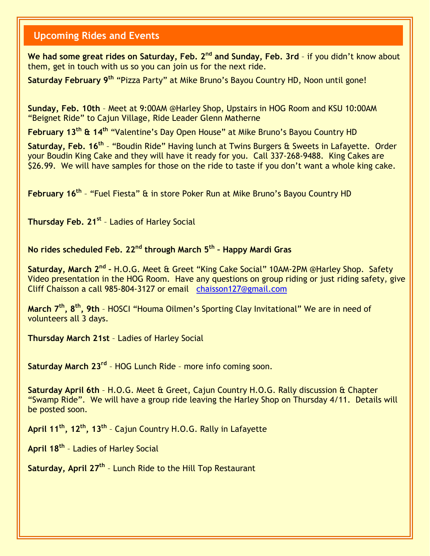#### **Upcoming Rides and Events**

We had some great rides on Saturday, Feb. 2<sup>nd</sup> and Sunday, Feb. 3rd - if you didn't know about them, get in touch with us so you can join us for the next ride.

**Saturday February 9th** "Pizza Party" at Mike Bruno's Bayou Country HD, Noon until gone!

**Sunday, Feb. 10th** – Meet at 9:00AM @Harley Shop, Upstairs in HOG Room and KSU 10:00AM "Beignet Ride" to Cajun Village, Ride Leader Glenn Matherne

**February 13th & 14th** "Valentine's Day Open House" at Mike Bruno's Bayou Country HD

**Saturday, Feb. 16th** – "Boudin Ride" Having lunch at Twins Burgers & Sweets in Lafayette. Order your Boudin King Cake and they will have it ready for you. Call 337-268-9488. King Cakes are \$26.99. We will have samples for those on the ride to taste if you don't want a whole king cake.

**February 16th** – "Fuel Fiesta" & in store Poker Run at Mike Bruno's Bayou Country HD

**Thursday Feb. 21st** – Ladies of Harley Social

#### **No rides scheduled Feb. 22nd through March 5th – Happy Mardi Gras**

**Saturday, March 2nd –** H.O.G. Meet & Greet "King Cake Social" 10AM-2PM @Harley Shop. Safety Video presentation in the HOG Room. Have any questions on group riding or just riding safety, give Cliff Chaisson a call 985-804-3127 or email [chaisson127@gmail.com](mailto:chaisson127@gmail.com)

**March 7th, 8th, 9th** – HOSCI "Houma Oilmen's Sporting Clay Invitational" We are in need of volunteers all 3 days.

**Thursday March 21st** – Ladies of Harley Social

**Saturday March 23rd** – HOG Lunch Ride – more info coming soon.

**Saturday April 6th** – H.O.G. Meet & Greet, Cajun Country H.O.G. Rally discussion & Chapter "Swamp Ride". We will have a group ride leaving the Harley Shop on Thursday 4/11. Details will be posted soon.

**April 11th, 12th, 13th** – Cajun Country H.O.G. Rally in Lafayette

**April 18th** – Ladies of Harley Social

**Saturday, April 27th** – Lunch Ride to the Hill Top Restaurant